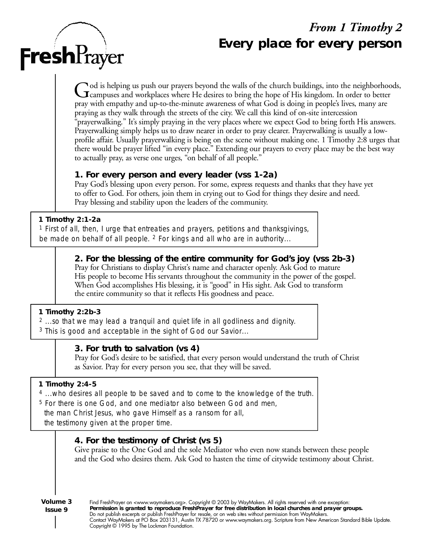# *From 1 Timothy 2* **Every place for every person**

God is helping us push our prayers beyond the walls of the church buildings, into the neighborhood<br>Campuses and workplaces where He desires to bring the hope of His kingdom. In order to better od is helping us push our prayers beyond the walls of the church buildings, into the neighborhoods, pray with empathy and up-to-the-minute awareness of what God is doing in people's lives, many are praying as they walk through the streets of the city. We call this kind of on-site intercession "prayerwalking." It's simply praying in the very places where we expect God to bring forth His answers. Prayerwalking simply helps us to draw nearer in order to pray clearer. Prayerwalking is usually a lowprofile affair. Usually prayerwalking is being on the scene without making one. 1 Timothy 2:8 urges that there would be prayer lifted "in every place." Extending our prayers to every place may be the best way to actually pray, as verse one urges, "on behalf of all people."

#### **1. For every person and every leader (vss 1-2a)**

Pray God's blessing upon every person. For some, express requests and thanks that they have yet to offer to God. For others, join them in crying out to God for things they desire and need. Pray blessing and stability upon the leaders of the community.

#### **1 Timothy 2:1-2a**

**Fresh**Prayer

*<sup>1</sup> First of all, then, I urge that entreaties and prayers, petitions and thanksgivings, be made on behalf of all people. <sup>2</sup> For kings and all who are in authority...*

## **2. For the blessing of the entire community for God's joy (vss 2b-3)**

Pray for Christians to display Christ's name and character openly. Ask God to mature His people to become His servants throughout the community in the power of the gospel. When God accomplishes His blessing, it is "good" in His sight. Ask God to transform the entire community so that it reflects His goodness and peace.

#### **1 Timothy 2:2b-3**

*<sup>2</sup> ...so that we may lead a tranquil and quiet life in all godliness and dignity.*

*<sup>3</sup> This is good and acceptable in the sight of God our Savior...*

#### **3. For truth to salvation (vs 4)**

Pray for God's desire to be satisfied, that every person would understand the truth of Christ as Savior. Pray for every person you see, that they will be saved.

#### **1 Timothy 2:4-5**

*<sup>4</sup> ...who desires all people to be saved and to come to the knowledge of the truth.* 

*<sup>5</sup> For there is one God, and one mediator also between God and men, the man Christ Jesus, who gave Himself as a ransom for all,* 

*the testimony given at the proper time.*

# **4. For the testimony of Christ (vs 5)**

Give praise to the One God and the sole Mediator who even now stands between these people and the God who desires them. Ask God to hasten the time of citywide testimony about Christ.

**Volume 3 Issue 9** Find FreshPrayer on <www.waymakers.org>. Copyright © 2003 by WayMakers. All rights reserved with one exception: Permission is granted to reproduce FreshPrayer for free distribution in local churches and prayer groups. Do not publish excerpts or publish FreshPrayer for resale, or on web sites without permission from WayMakers. Contact WayMakers at PO Box 203131, Austin TX 78720 or www.waymakers.org. Scripture from New American Standard Bible Update. Copyright © 1995 by The Lockman Foundation.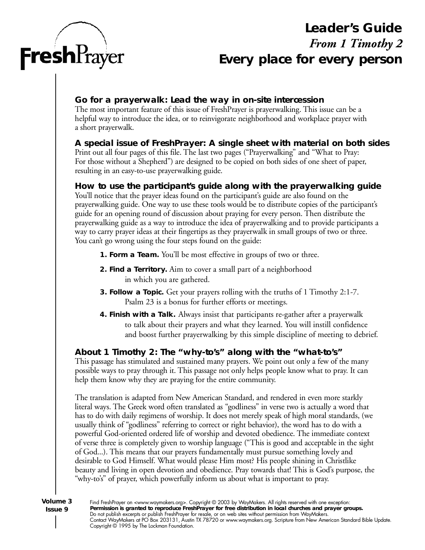

# **Leader's Guide** *From 1 Timothy 2* **Every place for every person**

### **Go for a prayerwalk: Lead the way in on-site intercession**

The most important feature of this issue of FreshPrayer is prayerwalking. This issue can be a helpful way to introduce the idea, or to reinvigorate neighborhood and workplace prayer with a short prayerwalk.

## **A special issue of FreshPrayer: A single sheet with material on both sides**

Print out all four pages of this file. The last two pages ("Prayerwalking" and "What to Pray: For those without a Shepherd") are designed to be copied on both sides of one sheet of paper, resulting in an easy-to-use prayerwalking guide.

#### How to use the participant's guide along with the prayerwalking guide

You'll notice that the prayer ideas found on the participant's guide are also found on the prayerwalking guide. One way to use these tools would be to distribute copies of the participant's guide for an opening round of discussion about praying for every person. Then distribute the prayerwalking guide as a way to introduce the idea of prayerwalking and to provide participants a way to carry prayer ideas at their fingertips as they prayer walk in small groups of two or three. You can't go wrong using the four steps found on the guide:

- **1. Form a Team.** You'll be most effective in groups of two or three.
- **2. Find a Territory.** Aim to cover a small part of a neighborhood in which you are gathered.
- **3. Follow a Topic.** Get your prayers rolling with the truths of 1 Timothy 2:1-7. Psalm 23 is a bonus for further efforts or meetings.
- **4. Finish with a Talk.** Always insist that participants re-gather after a prayerwalk to talk about their prayers and what they learned. You will instill confidence and boost further prayerwalking by this simple discipline of meeting to debrief.

# **About 1 Timothy 2: The "why-to's" along with the "what-to's "**

This passage has stimulated and sustained many prayers. We point out only a few of the many possible ways to pray through it. This passage not only helps people know what to pray. It can help them know why they are praying for the entire community.

The translation is adapted from New American Standard, and rendered in even more starkly literal ways. The Greek word often translated as "godliness" in verse two is actually a word that has to do with daily regimens of worship. It does not merely speak of high moral standards, (we usually think of "godliness" referring to correct or right behavior), the word has to do with a powerful God-oriented ordered life of worship and devoted obedience. The immediate context of verse three is completely given to worship language ("This is good and acceptable in the sight of God...). This means that our prayers fundamentally must pursue something lovely and desirable to God Himself. What would please Him most? His people shining in Christlike beauty and living in open devotion and obedience. Pray towards that! This is God's purpose, the "why-to's" of prayer, which powerfully inform us about what is important to pray.

**Volume 3 Issue 9**

Find FreshPrayer on <www.waymakers.org>. Copyright © 2003 by WayMakers. All rights reserved with one exception: Permission is granted to reproduce FreshPrayer for free distribution in local churches and prayer groups. Do not publish excerpts or publish FreshPrayer for resale, or on web sites without permission from WayMakers. Contact WayMakers at PO Box 203131, Austin TX 78720 or www.waymakers.org. Scripture from New American Standard Bible Update. Copyright © 1995 by The Lockman Foundation.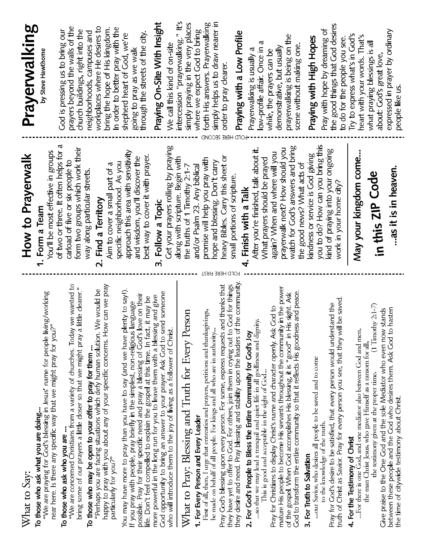| What to Say:                                                                                                                                                                                                                                            | How to Prayerwalk                                                    | Prayerwalking                                             |
|---------------------------------------------------------------------------------------------------------------------------------------------------------------------------------------------------------------------------------------------------------|----------------------------------------------------------------------|-----------------------------------------------------------|
| To those who ask what you are doing                                                                                                                                                                                                                     | 1. Form a Team                                                       |                                                           |
| "We are praying for God's blessing in Jesus" name for people living/working<br>near here. Is there any specific way that we might pray for you?"                                                                                                        | You'll be most effective in groups                                   | by Steve Hawthome                                         |
|                                                                                                                                                                                                                                                         | of two or three. It often helps for a                                | God is pressing us to bring our                           |
| To those who ask who you are<br>"We are concerned Christians from a variety of churches. Today we wanted to                                                                                                                                             | carload of five or six people to                                     | prayers beyond the walls of the                           |
| bring some of our prayers a little closer so that we might pray a little clearer."                                                                                                                                                                      | form two groups which work their                                     | church buildings, right into the                          |
| To those who may be open to your offer to pray for them                                                                                                                                                                                                 | way along particular streets.                                        | neighborhoods, campuses and                               |
| "Perhaps you are facing situations which defy human solution. We would be                                                                                                                                                                               | Find a Territory<br>$\overline{\mathsf{N}}$                          | workplaces where He desires to                            |
| happy to pray with you about any of your specific concerns. How can we pray<br>particularly for you?"                                                                                                                                                   | Aim to cover a small part of a                                       | bring the hope of His kingdom.                            |
|                                                                                                                                                                                                                                                         | specific neighborhood As you                                         | In order to better pray with the                          |
| You may have more to pray than you have to say (and we have plenty to say!).                                                                                                                                                                            | approach this area with sensitivity                                  | shepherd heart of God, we're<br>going to pray as we walk  |
| If you pray with people, pray briefly in the simplest, non-religious language<br>possible. Pray for their specific need and pray a blessing of God's love on their<br>life. Don't feel compelled to explain the gospel at this time. In fact, it may be | best way to cover it with prayer.<br>and wisdom, you'll discover the | through the streets of the city.                          |
| and give<br>more powerful in the long run for you to leave them with a blessing                                                                                                                                                                         | Follow a Topic<br>$\mathbf{u}$                                       | Praying On-Site With Insight                              |
| someone<br>God opportunity to bring an answer to your prayer. Ask God to send<br>who will introduce them to the joy of living as a follower of Christ.                                                                                                  | Get your prayers rolling by praying                                  | We call this kind of on-site                              |
|                                                                                                                                                                                                                                                         | along with scripture. Begin with                                     | intercession "prayerwalking." It's                        |
| What to Pray: Blessing and Truth for Every Person                                                                                                                                                                                                       | the truths of 1 Timothy 2:1-7                                        | simply praying in the very places                         |
| 1. For Every Person and Every Leader                                                                                                                                                                                                                    | and/or Psalm 23. Any biblical                                        | where we expect God to bring                              |
| First of all, then, I urge that entreaties and prayers, petitions and thanksgivings, be made on behalf of all people. For kings and all who are in authority                                                                                            | promise will help you pray with                                      | forth His answers. Prayerwalking                          |
|                                                                                                                                                                                                                                                         | hope and blessing. Don't carry                                       | simply helps us to draw nearer in                         |
| Pray God's blessing upon every person. For some, express requests and thanks that<br>they have yet to offer to God. For others, join them in crying out to God for things                                                                               | heavy Bibles. Carry this sheet or                                    | order to pray clearer                                     |
| they desire and need. Pray blessing and stability upon the leaders of the community.                                                                                                                                                                    | small portions of scripture.                                         | Praying with a Low Profile                                |
| 2. For God's People to Bless the Entire Community for God's Joy                                                                                                                                                                                         | Finish with a Talk                                                   | Prayerwalking is usually a                                |
| so that we may lead a tranquil and quiet life in all godliness and dignity                                                                                                                                                                              | After you're finished, talk about it.                                | 4<br>low-profile affair. Once in                          |
| This is good and acceptable in the sight of God                                                                                                                                                                                                         | What prayers should be prayed                                        | while, the prayers can be                                 |
| mature His people to become His servants throughout the community in the power<br>Pray for Christians to display Christ's name and character openly. Ask God to                                                                                         | again? When and where will you                                       | demonstrative, but usually                                |
| of the gospel. When God accomplishes His blessing, it is "good" in His sight. Ask                                                                                                                                                                       | prayerwalk next? How should you                                      | prayerwalking is being on the                             |
| God to transform the entire community so that it reflects His goodness and peace.                                                                                                                                                                       | watch for God's answers and bring<br>the good news? What acts of     | scene without making one                                  |
| our Savior, who desires all people to be saved and to come<br>3. For Truth to Salvation                                                                                                                                                                 | kindness or service is God giving                                    | Praying with High Hopes                                   |
| to the knowledge of the truth.                                                                                                                                                                                                                          | you to do? How can you bring this                                    | Pray with hope by dreaming of                             |
| Pray for God's desire to be satisfied, that every person would understand the                                                                                                                                                                           | kind of praying into your ongoing                                    | the good things that God desires                          |
| truth of Christ as Savior. Pray for every person you see, that they will be saved                                                                                                                                                                       | work in your home city?                                              | to do for the people you see.                             |
| For there is one God, and one mediator also between God and men,<br>4. For the Testimony of Christ                                                                                                                                                      | May your kingdom come                                                | Try to express what's in God's                            |
| the man Christ Jesus, who gave Himself as a ransom for all,                                                                                                                                                                                             |                                                                      | heart with your words. That's                             |
| $(1$ Timothy 2:1-7)<br>the testimony given at the proper time.                                                                                                                                                                                          | in this ZIP Code                                                     | what praying blessings is all<br>about: God's great love, |
| Give praise to the One God and the sole Mediator who even now stands<br>between these people and the God who desires them. Ask God to hasten                                                                                                            | as it is in heaven.                                                  | expressed in prayer by ordinary                           |
| the time of citywide testimony about Christ.                                                                                                                                                                                                            |                                                                      | people like us.                                           |